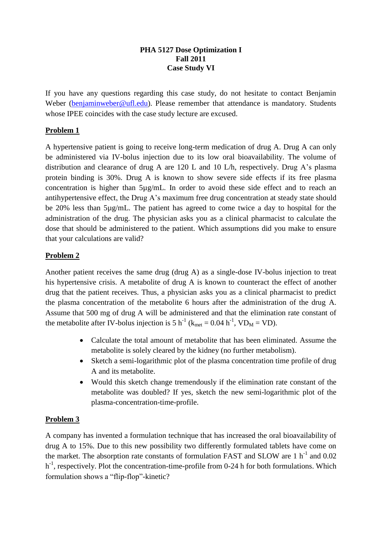#### **PHA 5127 Dose Optimization I Fall 2011 Case Study VI**

If you have any questions regarding this case study, do not hesitate to contact Benjamin Weber [\(benjaminweber@ufl.edu\)](mailto:benjaminweber@ufl.edu). Please remember that attendance is mandatory. Students whose IPEE coincides with the case study lecture are excused.

# **Problem 1**

A hypertensive patient is going to receive long-term medication of drug A. Drug A can only be administered via IV-bolus injection due to its low oral bioavailability. The volume of distribution and clearance of drug A are 120 L and 10 L/h, respectively. Drug A's plasma protein binding is 30%. Drug A is known to show severe side effects if its free plasma concentration is higher than 5µg/mL. In order to avoid these side effect and to reach an antihypertensive effect, the Drug A's maximum free drug concentration at steady state should be 20% less than 5µg/mL. The patient has agreed to come twice a day to hospital for the administration of the drug. The physician asks you as a clinical pharmacist to calculate the dose that should be administered to the patient. Which assumptions did you make to ensure that your calculations are valid?

### **Problem 2**

Another patient receives the same drug (drug A) as a single-dose IV-bolus injection to treat his hypertensive crisis. A metabolite of drug A is known to counteract the effect of another drug that the patient receives. Thus, a physician asks you as a clinical pharmacist to predict the plasma concentration of the metabolite 6 hours after the administration of the drug A. Assume that 500 mg of drug A will be administered and that the elimination rate constant of the metabolite after IV-bolus injection is 5 h<sup>-1</sup> ( $k_{met} = 0.04$  h<sup>-1</sup>, VD<sub>M</sub> = VD).

- Calculate the total amount of metabolite that has been eliminated. Assume the metabolite is solely cleared by the kidney (no further metabolism).
- Sketch a semi-logarithmic plot of the plasma concentration time profile of drug A and its metabolite.
- Would this sketch change tremendously if the elimination rate constant of the metabolite was doubled? If yes, sketch the new semi-logarithmic plot of the plasma-concentration-time-profile.

#### **Problem 3**

A company has invented a formulation technique that has increased the oral bioavailability of drug A to 15%. Due to this new possibility two differently formulated tablets have come on the market. The absorption rate constants of formulation FAST and SLOW are  $1 h^{-1}$  and 0.02 h<sup>-1</sup>, respectively. Plot the concentration-time-profile from 0-24 h for both formulations. Which formulation shows a "flip-flop"-kinetic?